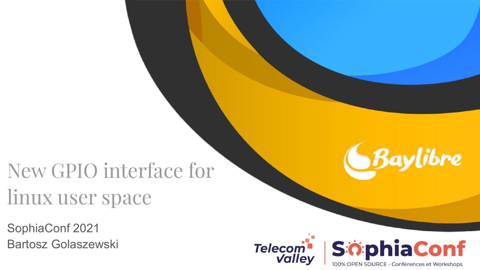# New GPIO interface for linux user space

SophiaConf 2021 Bartosz Golaszewski





Baylibre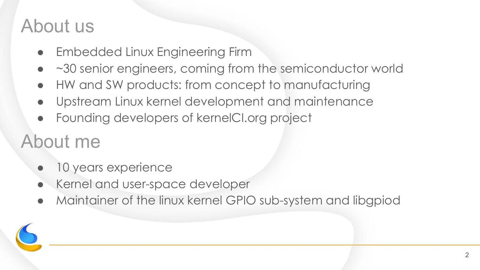#### About us

- **Embedded Linux Engineering Firm**
- ~30 senior engineers, coming from the semiconductor world
- HW and SW products: from concept to manufacturing
- Upstream Linux kernel development and maintenance
- Founding developers of kernelCI.org project

### About me

- 10 years experience
- Kernel and user-space developer
- Maintainer of the linux kernel GPIO sub-system and libgpiod

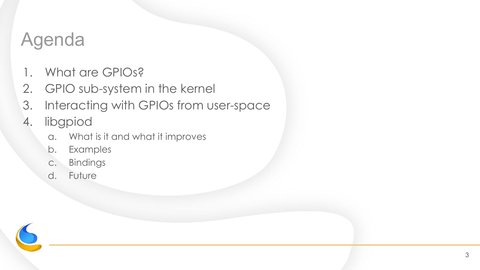### Agenda

- 1. What are GPIOs?
- 2. GPIO sub-system in the kernel
- 3. Interacting with GPIOs from user-space
- 4. libgpiod
	- a. What is it and what it improves
	- b. Examples
	- c. Bindings
	- d. Future

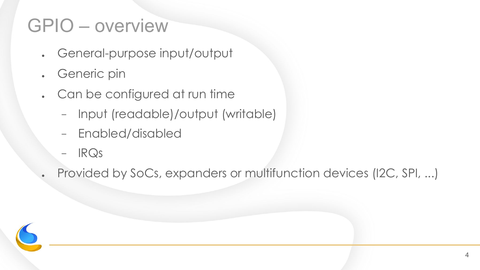#### GPIO – overview

- General-purpose input/output
- Generic pin
- Can be configured at run time
	- − Input (readable)/output (writable)
	- − Enabled/disabled
	- − IRQs

Provided by SoCs, expanders or multifunction devices (I2C, SPI, ...)

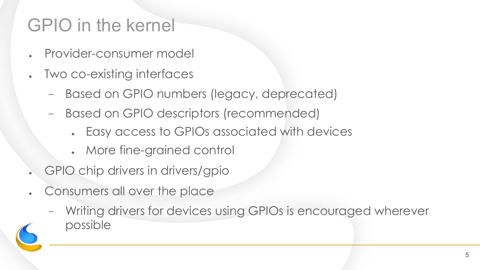### GPIO in the kernel

- Provider-consumer model
- Two co-existing interfaces
	- − Based on GPIO numbers (legacy, deprecated)
	- − Based on GPIO descriptors (recommended)
		- Easy access to GPIOs associated with devices
		- More fine-grained control
- GPIO chip drivers in drivers/gpio
- Consumers all over the place
	- Writing drivers for devices using GPIOs is encouraged wherever possible

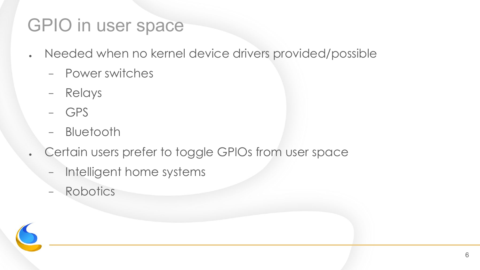#### GPIO in user space

- . Needed when no kernel device drivers provided/possible
	- − Power switches
	- − Relays
	- − GPS
	- − Bluetooth
- . Certain users prefer to toggle GPIOs from user space
	- − Intelligent home systems
	- − Robotics

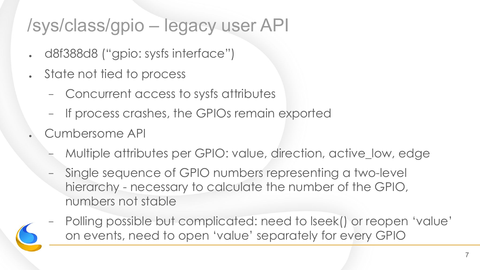#### /sys/class/gpio – legacy user API

- . d8f388d8 ("gpio: sysfs interface")
- State not tied to process
	- − Concurrent access to sysfs attributes
	- − If process crashes, the GPIOs remain exported
- Cumbersome API
	- − Multiple attributes per GPIO: value, direction, active\_low, edge
	- − Single sequence of GPIO numbers representing a two-level hierarchy - necessary to calculate the number of the GPIO, numbers not stable
	- − Polling possible but complicated: need to lseek() or reopen 'value' on events, need to open 'value' separately for every GPIO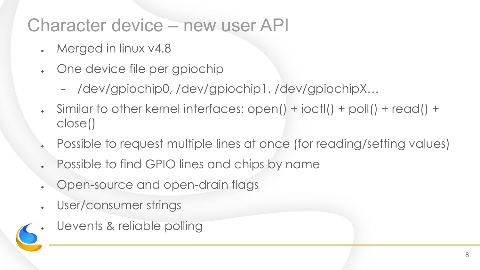#### Character device – new user API

- Merged in linux v4.8
- One device file per gpiochip
	- − /dev/gpiochip0, /dev/gpiochip1, /dev/gpiochipX…
- Similar to other kernel interfaces: open() + ioctl() + poll() + read() + close()
- Possible to request multiple lines at once (for reading/setting values)
- Possible to find GPIO lines and chips by name
- Open-source and open-drain flags
- User/consumer strings
- Uevents & reliable polling

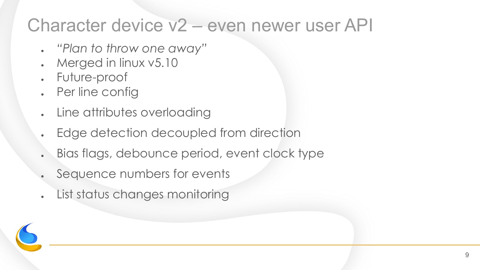#### Character device v2 – even newer user API

- *● "Plan to throw one away"*
- Merged in linux  $v5.10$
- Future-proof
- **Per line config**
- Line attributes overloading
- Edge detection decoupled from direction
- Bias flags, debounce period, event clock type
- Sequence numbers for events
- List status changes monitoring

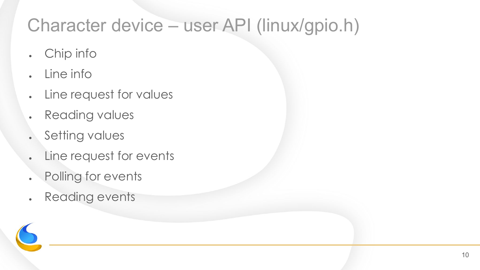#### Character device – user API (linux/gpio.h)

- . Chip info
- $\blacksquare$  Line info
- **.** Line request for values
- . Reading values
- . Setting values
- **.** Line request for events
- . Polling for events
- . Reading events

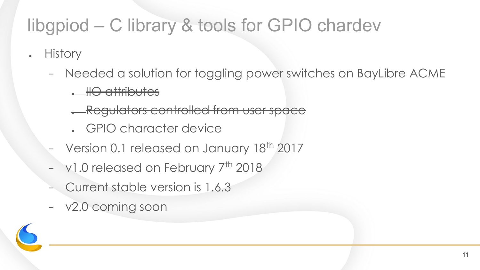### libgpiod – C library & tools for GPIO chardev

- History
	- − Needed a solution for toggling power switches on BayLibre ACME
		- IIO attributes
		- **A Regulators controlled from user space**
		- . GPIO character device
	- Version 0.1 released on January 18<sup>th</sup> 2017
	- <sup>−</sup> v1.0 released on February 7th 2018
	- − Current stable version is 1.6.3
	- − v2.0 coming soon

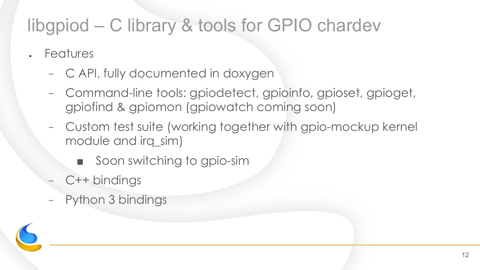#### libgpiod – C library & tools for GPIO chardev

- **Features** 
	- − C API, fully documented in doxygen
	- − Command-line tools: gpiodetect, gpioinfo, gpioset, gpioget, gpiofind & gpiomon (gpiowatch coming soon)
	- − Custom test suite (working together with gpio-mockup kernel module and irq\_sim)
		- Soon switching to gpio-sim
	- C++ bindings
	- Python 3 bindings

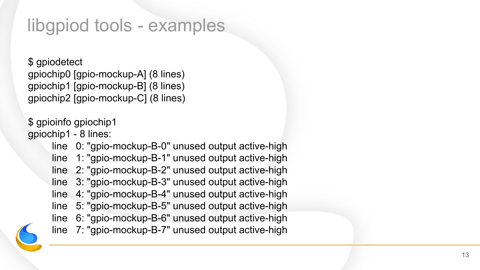#### libgpiod tools - examples

\$ gpiodetect gpiochip0 [gpio-mockup-A] (8 lines) gpiochip1 [gpio-mockup-B] (8 lines) gpiochip2 [gpio-mockup-C] (8 lines)

\$ gpioinfo gpiochip1 gpiochip1 - 8 lines:

> line 0: "gpio-mockup-B-0" unused output active-high line 1: "gpio-mockup-B-1" unused output active-high line 2: "gpio-mockup-B-2" unused output active-high line 3: "gpio-mockup-B-3" unused output active-high line 4: "gpio-mockup-B-4" unused output active-high line 5: "gpio-mockup-B-5" unused output active-high line 6: "gpio-mockup-B-6" unused output active-high line 7: "gpio-mockup-B-7" unused output active-high

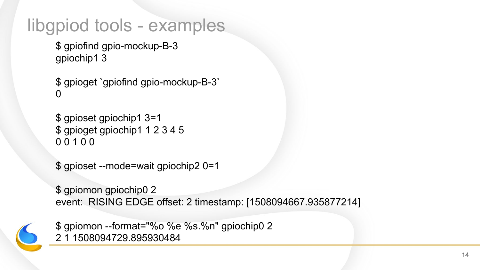#### libgpiod tools - examples

```
$ gpiofind gpio-mockup-B-3
gpiochip1 3
```

```
$ gpioget `gpiofind gpio-mockup-B-3`
0
```

```
$ gpioset gpiochip1 3=1
$ gpioget gpiochip1 1 2 3 4 5
0 0 1 0 0
```

```
$ gpioset --mode=wait gpiochip2 0=1
```
\$ gpiomon gpiochip0 2 event: RISING EDGE offset: 2 timestamp: [1508094667.935877214]



\$ gpiomon --format="%o %e %s.%n" gpiochip0 2 2 1 1508094729.895930484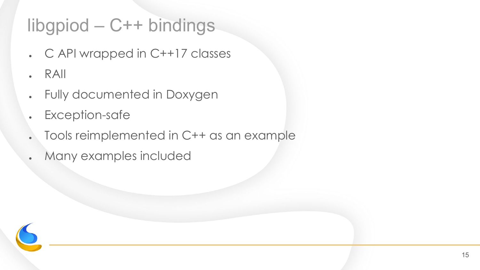### libgpiod – C++ bindings

- $\cdot$  C API wrapped in C++17 classes
- RAII
- Fully documented in Doxygen
- Exception-safe
- Tools reimplemented in C++ as an example
- . Many examples included

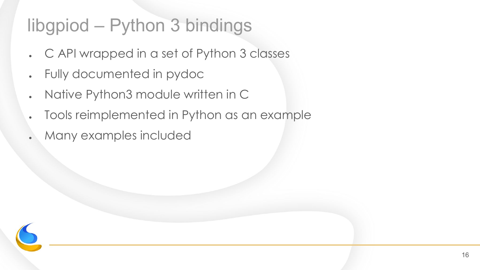#### libgpiod – Python 3 bindings

- . C API wrapped in a set of Python 3 classes
- Fully documented in pydoc
- Native Python3 module written in C
- Tools reimplemented in Python as an example
- Many examples included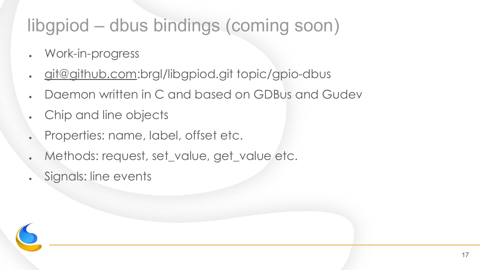#### libgpiod – dbus bindings (coming soon)

- Work-in-progress
- [git@github.com:](mailto:git@github.com)brgl/libgpiod.git topic/gpio-dbus
- . Daemon written in C and based on GDBus and Gudev
- Chip and line objects
- Properties: name, label, offset etc.
- Methods: request, set\_value, get\_value etc.
- Signals: line events

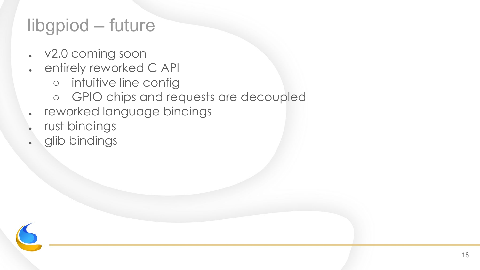#### libgpiod – future

- $\cdot$  v2.0 coming soon
- entirely reworked C API
	- intuitive line config
	- GPIO chips and requests are decoupled
- reworked language bindings
- rust bindings
- glib bindings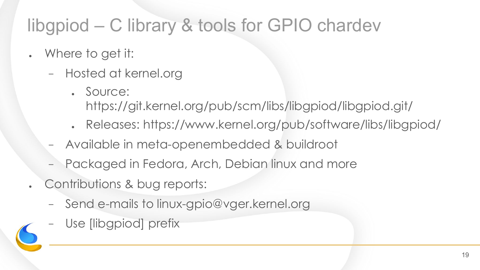### libgpiod – C library & tools for GPIO chardev

- . Where to get it:
	- − Hosted at kernel.org
		- . Source: https://git.kernel.org/pub/scm/libs/libgpiod/libgpiod.git/
		- . Releases: https://www.kernel.org/pub/software/libs/libgpiod/
	- − Available in meta-openembedded & buildroot
	- − Packaged in Fedora, Arch, Debian linux and more
- Contributions & bug reports:
	- − Send e-mails to linux-gpio@vger.kernel.org
	- − Use [libgpiod] prefix